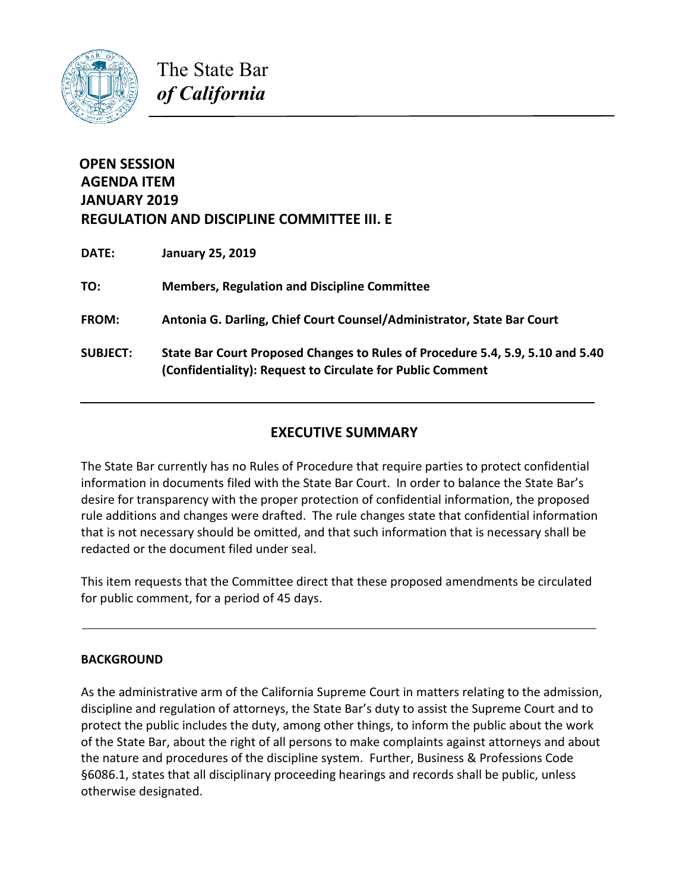

The State Bar *of California*

# **OPEN SESSION AGENDA ITEM JANUARY 2019 REGULATION AND DISCIPLINE COMMITTEE III. E**

| <b>DATE:</b>    | <b>January 25, 2019</b>                                                                                                                      |
|-----------------|----------------------------------------------------------------------------------------------------------------------------------------------|
| TO:             | <b>Members, Regulation and Discipline Committee</b>                                                                                          |
| <b>FROM:</b>    | Antonia G. Darling, Chief Court Counsel/Administrator, State Bar Court                                                                       |
| <b>SUBJECT:</b> | State Bar Court Proposed Changes to Rules of Procedure 5.4, 5.9, 5.10 and 5.40<br>(Confidentiality): Request to Circulate for Public Comment |

# **EXECUTIVE SUMMARY**

The State Bar currently has no Rules of Procedure that require parties to protect confidential information in documents filed with the State Bar Court. In order to balance the State Bar's desire for transparency with the proper protection of confidential information, the proposed rule additions and changes were drafted. The rule changes state that confidential information that is not necessary should be omitted, and that such information that is necessary shall be redacted or the document filed under seal.

This item requests that the Committee direct that these proposed amendments be circulated for public comment, for a period of 45 days.

# **BACKGROUND**

As the administrative arm of the California Supreme Court in matters relating to the admission, discipline and regulation of attorneys, the State Bar's duty to assist the Supreme Court and to protect the public includes the duty, among other things, to inform the public about the work of the State Bar, about the right of all persons to make complaints against attorneys and about the nature and procedures of the discipline system. Further, Business & Professions Code §6086.1, states that all disciplinary proceeding hearings and records shall be public, unless otherwise designated.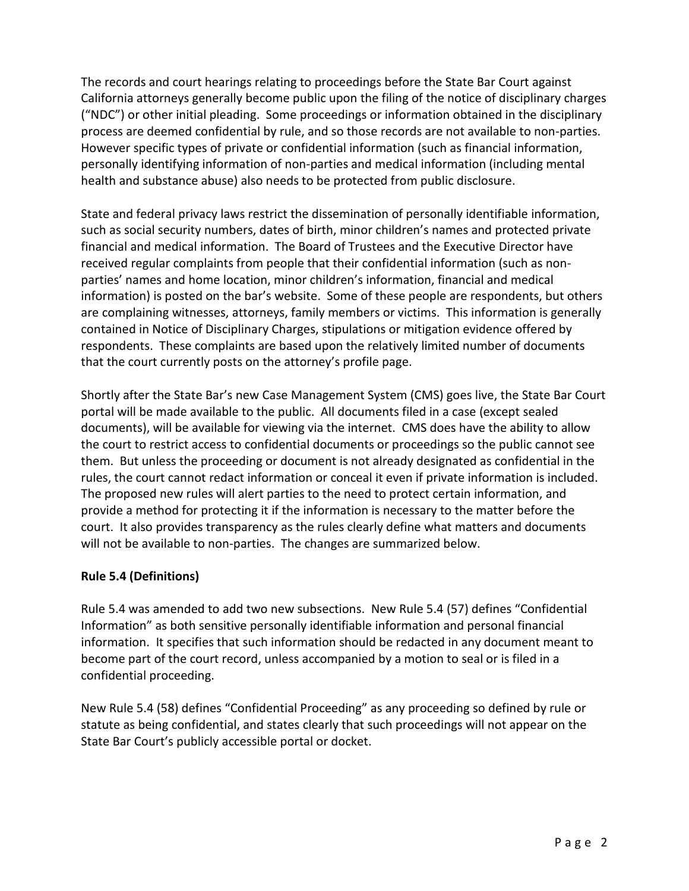The records and court hearings relating to proceedings before the State Bar Court against California attorneys generally become public upon the filing of the notice of disciplinary charges ("NDC") or other initial pleading. Some proceedings or information obtained in the disciplinary process are deemed confidential by rule, and so those records are not available to non-parties. However specific types of private or confidential information (such as financial information, personally identifying information of non-parties and medical information (including mental health and substance abuse) also needs to be protected from public disclosure.

State and federal privacy laws restrict the dissemination of personally identifiable information, such as social security numbers, dates of birth, minor children's names and protected private financial and medical information. The Board of Trustees and the Executive Director have received regular complaints from people that their confidential information (such as nonparties' names and home location, minor children's information, financial and medical information) is posted on the bar's website. Some of these people are respondents, but others are complaining witnesses, attorneys, family members or victims. This information is generally contained in Notice of Disciplinary Charges, stipulations or mitigation evidence offered by respondents. These complaints are based upon the relatively limited number of documents that the court currently posts on the attorney's profile page.

Shortly after the State Bar's new Case Management System (CMS) goes live, the State Bar Court portal will be made available to the public. All documents filed in a case (except sealed documents), will be available for viewing via the internet. CMS does have the ability to allow the court to restrict access to confidential documents or proceedings so the public cannot see them. But unless the proceeding or document is not already designated as confidential in the rules, the court cannot redact information or conceal it even if private information is included. The proposed new rules will alert parties to the need to protect certain information, and provide a method for protecting it if the information is necessary to the matter before the court. It also provides transparency as the rules clearly define what matters and documents will not be available to non-parties. The changes are summarized below.

# **Rule 5.4 (Definitions)**

Rule 5.4 was amended to add two new subsections. New Rule 5.4 (57) defines "Confidential Information" as both sensitive personally identifiable information and personal financial information. It specifies that such information should be redacted in any document meant to become part of the court record, unless accompanied by a motion to seal or is filed in a confidential proceeding.

New Rule 5.4 (58) defines "Confidential Proceeding" as any proceeding so defined by rule or statute as being confidential, and states clearly that such proceedings will not appear on the State Bar Court's publicly accessible portal or docket.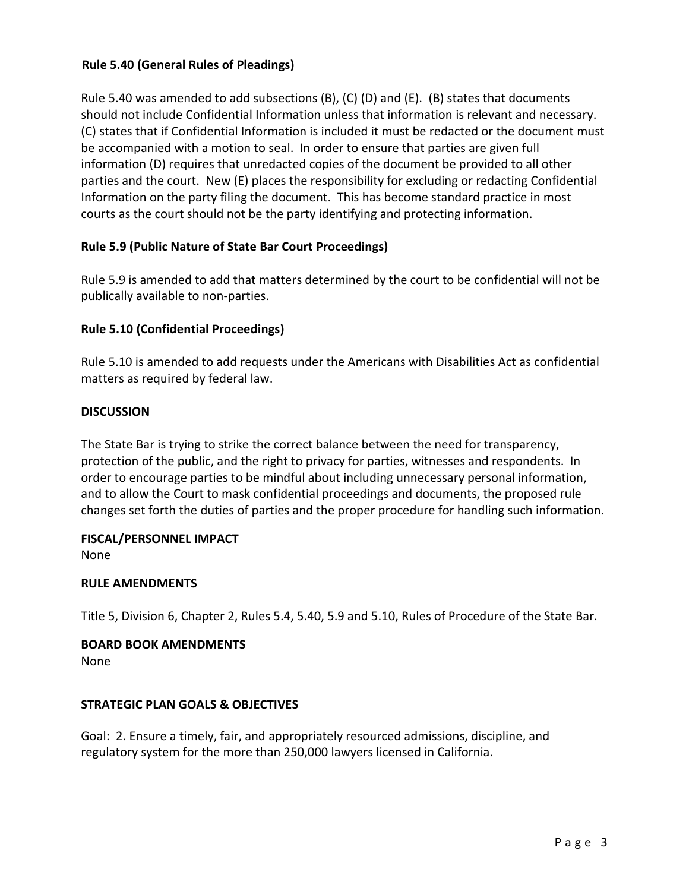## **Rule 5.40 (General Rules of Pleadings)**

Rule 5.40 was amended to add subsections (B), (C) (D) and (E). (B) states that documents should not include Confidential Information unless that information is relevant and necessary. (C) states that if Confidential Information is included it must be redacted or the document must be accompanied with a motion to seal. In order to ensure that parties are given full information (D) requires that unredacted copies of the document be provided to all other parties and the court. New (E) places the responsibility for excluding or redacting Confidential Information on the party filing the document. This has become standard practice in most courts as the court should not be the party identifying and protecting information.

## **Rule 5.9 (Public Nature of State Bar Court Proceedings)**

Rule 5.9 is amended to add that matters determined by the court to be confidential will not be publically available to non-parties.

#### **Rule 5.10 (Confidential Proceedings)**

Rule 5.10 is amended to add requests under the Americans with Disabilities Act as confidential matters as required by federal law.

#### **DISCUSSION**

The State Bar is trying to strike the correct balance between the need for transparency, protection of the public, and the right to privacy for parties, witnesses and respondents. In order to encourage parties to be mindful about including unnecessary personal information, and to allow the Court to mask confidential proceedings and documents, the proposed rule changes set forth the duties of parties and the proper procedure for handling such information.

#### **FISCAL/PERSONNEL IMPACT**

None

#### **RULE AMENDMENTS**

Title 5, Division 6, Chapter 2, Rules 5.4, 5.40, 5.9 and 5.10, Rules of Procedure of the State Bar.

# **BOARD BOOK AMENDMENTS**

None

#### **STRATEGIC PLAN GOALS & OBJECTIVES**

Goal: 2. Ensure a timely, fair, and appropriately resourced admissions, discipline, and regulatory system for the more than 250,000 lawyers licensed in California.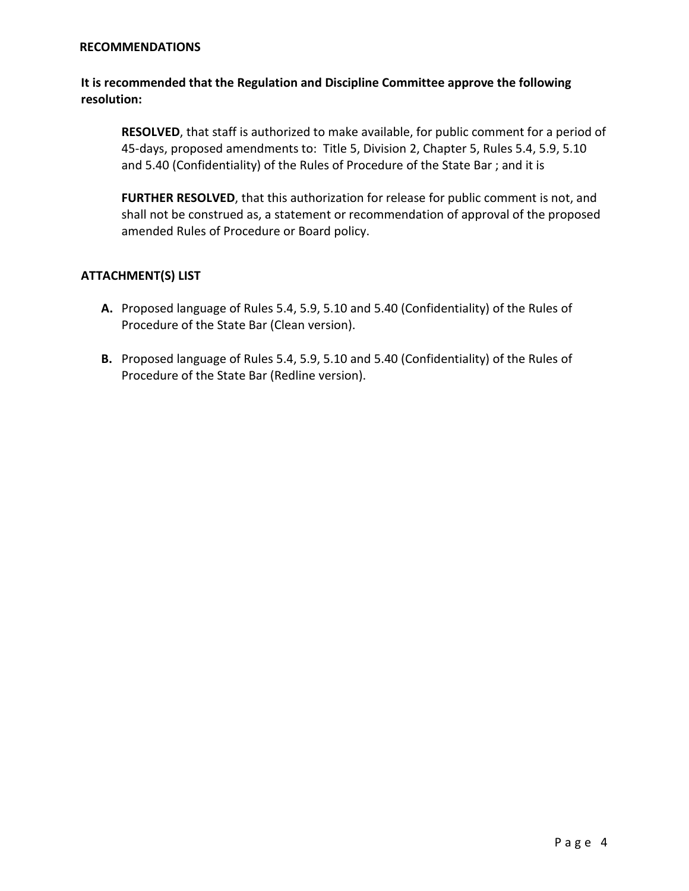#### **RECOMMENDATIONS**

## **It is recommended that the Regulation and Discipline Committee approve the following resolution:**

**RESOLVED**, that staff is authorized to make available, for public comment for a period of 45-days, proposed amendments to: Title 5, Division 2, Chapter 5, Rules 5.4, 5.9, 5.10 and 5.40 (Confidentiality) of the Rules of Procedure of the State Bar ; and it is

**FURTHER RESOLVED**, that this authorization for release for public comment is not, and shall not be construed as, a statement or recommendation of approval of the proposed amended Rules of Procedure or Board policy.

#### **ATTACHMENT(S) LIST**

- **A.** Proposed language of Rules 5.4, 5.9, 5.10 and 5.40 (Confidentiality) of the Rules of Procedure of the State Bar (Clean version).
- **B.** Proposed language of Rules 5.4, 5.9, 5.10 and 5.40 (Confidentiality) of the Rules of Procedure of the State Bar (Redline version).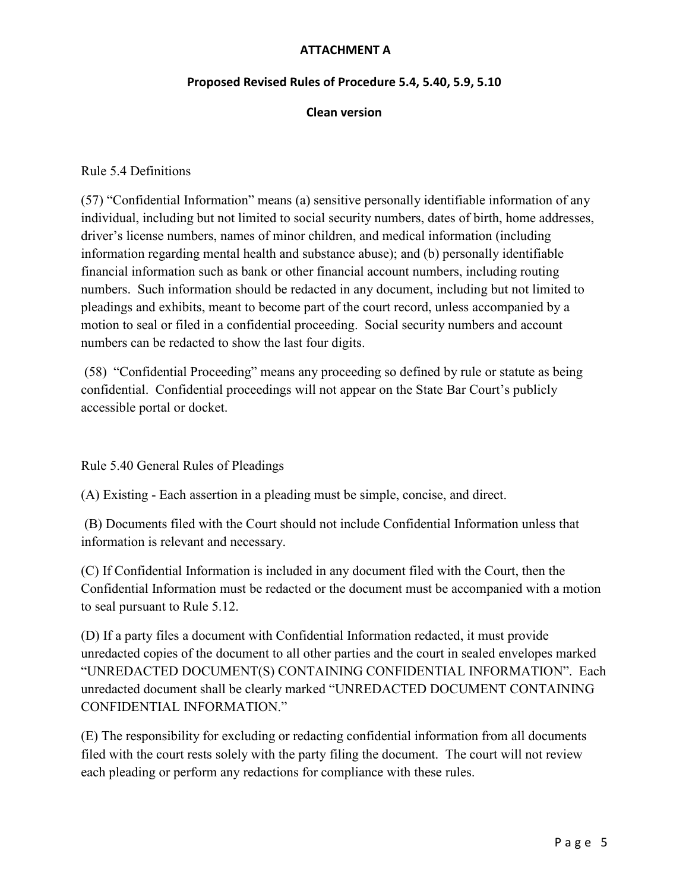# **ATTACHMENT A**

#### **Proposed Revised Rules of Procedure 5.4, 5.40, 5.9, 5.10**

#### **Clean version**

#### Rule 5.4 Definitions

(57) "Confidential Information" means (a) sensitive personally identifiable information of any individual, including but not limited to social security numbers, dates of birth, home addresses, driver's license numbers, names of minor children, and medical information (including information regarding mental health and substance abuse); and (b) personally identifiable financial information such as bank or other financial account numbers, including routing numbers. Such information should be redacted in any document, including but not limited to pleadings and exhibits, meant to become part of the court record, unless accompanied by a motion to seal or filed in a confidential proceeding. Social security numbers and account numbers can be redacted to show the last four digits.

(58) "Confidential Proceeding" means any proceeding so defined by rule or statute as being confidential. Confidential proceedings will not appear on the State Bar Court's publicly accessible portal or docket.

Rule 5.40 General Rules of Pleadings

(A) Existing - Each assertion in a pleading must be simple, concise, and direct.

 (B) Documents filed with the Court should not include Confidential Information unless that information is relevant and necessary.

(C) If Confidential Information is included in any document filed with the Court, then the Confidential Information must be redacted or the document must be accompanied with a motion to seal pursuant to Rule 5.12.

(D) If a party files a document with Confidential Information redacted, it must provide unredacted copies of the document to all other parties and the court in sealed envelopes marked "UNREDACTED DOCUMENT(S) CONTAINING CONFIDENTIAL INFORMATION". Each unredacted document shall be clearly marked "UNREDACTED DOCUMENT CONTAINING CONFIDENTIAL INFORMATION."

(E) The responsibility for excluding or redacting confidential information from all documents filed with the court rests solely with the party filing the document. The court will not review each pleading or perform any redactions for compliance with these rules.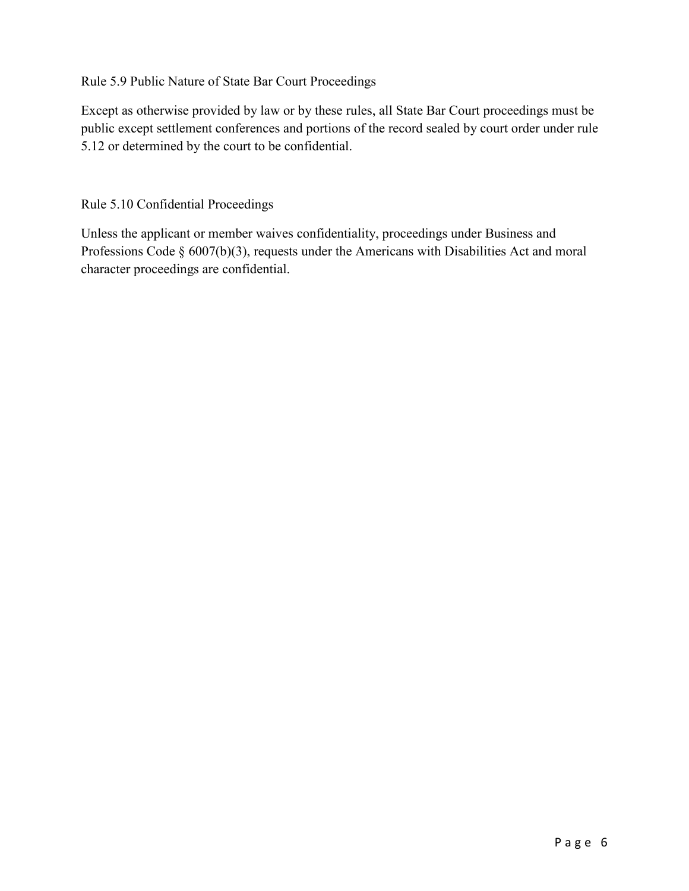Rule 5.9 Public Nature of State Bar Court Proceedings

Except as otherwise provided by law or by these rules, all State Bar Court proceedings must be public except settlement conferences and portions of the record sealed by court order under rule 5.12 or determined by the court to be confidential.

Rule 5.10 Confidential Proceedings

Unless the applicant or member waives confidentiality, proceedings under Business and Professions Code § 6007(b)(3), requests under the Americans with Disabilities Act and moral character proceedings are confidential.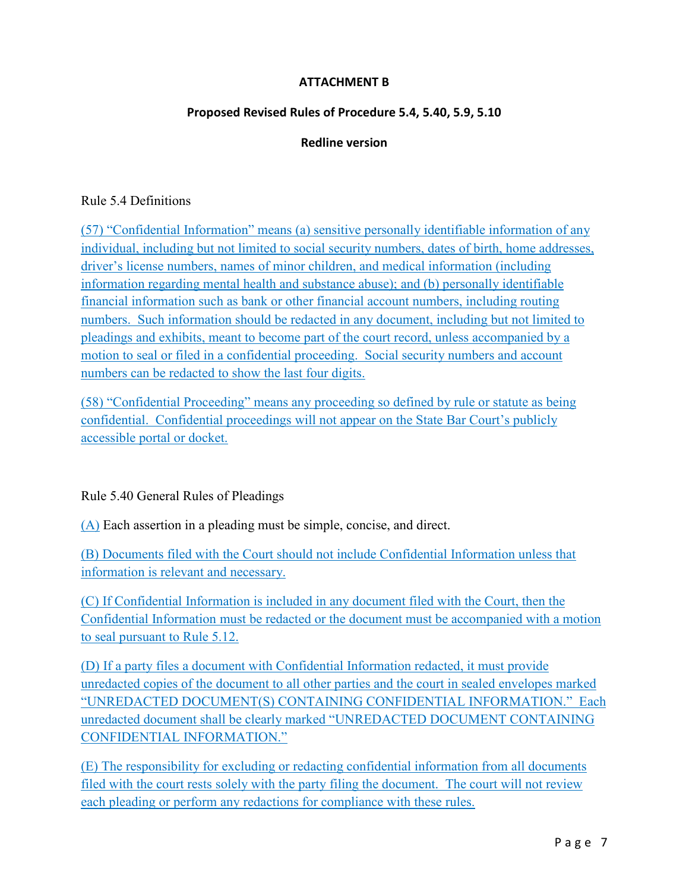## **ATTACHMENT B**

## **Proposed Revised Rules of Procedure 5.4, 5.40, 5.9, 5.10**

# **Redline version**

### Rule 5.4 Definitions

(57) "Confidential Information" means (a) sensitive personally identifiable information of any individual, including but not limited to social security numbers, dates of birth, home addresses, driver's license numbers, names of minor children, and medical information (including information regarding mental health and substance abuse); and (b) personally identifiable financial information such as bank or other financial account numbers, including routing numbers. Such information should be redacted in any document, including but not limited to pleadings and exhibits, meant to become part of the court record, unless accompanied by a motion to seal or filed in a confidential proceeding. Social security numbers and account numbers can be redacted to show the last four digits.

(58) "Confidential Proceeding" means any proceeding so defined by rule or statute as being confidential. Confidential proceedings will not appear on the State Bar Court's publicly accessible portal or docket.

# Rule 5.40 General Rules of Pleadings

(A) Each assertion in a pleading must be simple, concise, and direct.

(B) Documents filed with the Court should not include Confidential Information unless that information is relevant and necessary.

(C) If Confidential Information is included in any document filed with the Court, then the Confidential Information must be redacted or the document must be accompanied with a motion to seal pursuant to Rule 5.12.

(D) If a party files a document with Confidential Information redacted, it must provide unredacted copies of the document to all other parties and the court in sealed envelopes marked "UNREDACTED DOCUMENT(S) CONTAINING CONFIDENTIAL INFORMATION." Each unredacted document shall be clearly marked "UNREDACTED DOCUMENT CONTAINING CONFIDENTIAL INFORMATION."

(E) The responsibility for excluding or redacting confidential information from all documents filed with the court rests solely with the party filing the document. The court will not review each pleading or perform any redactions for compliance with these rules.